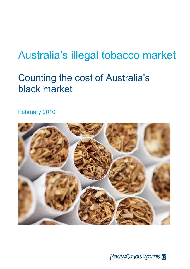# Australia's illegal tobacco market

# Counting the cost of Australia's black market

February 2010



PRICEWATERHOUSE COPERS **R**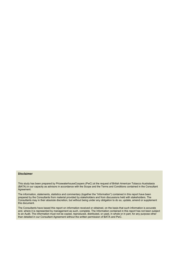#### **Disclaimer**

This study has been prepared by PricewaterhouseCoopers (PwC) at the request of British American Tobacco Australasia (BATA) in our capacity as advisors in accordance with the Scope and the Terms and Conditions contained in the Consultant Agreement.

The information, statements, statistics and commentary (together the "Information") contained in this report have been prepared by the Consultants from material provided by stakeholders and from discussions held with stakeholders. The Consultants may in their absolute discretion, but without being under any obligation to do so, update, amend or supplement this document.

The Consultants have based this report on information received or obtained, on the basis that such information is accurate and, where it is represented by management as such, complete. The Information contained in this report has not been subject to an Audit. The information must not be copied, reproduced, distributed, or used, in whole or in part, for any purpose other than detailed in our Consultant Agreement without the written permission of BATA and PwC.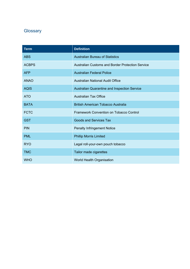### **Glossary**

| <b>Term</b>  | <b>Definition</b>                                       |
|--------------|---------------------------------------------------------|
| <b>ABS</b>   | <b>Australian Bureau of Statistics</b>                  |
| <b>ACBPS</b> | <b>Australian Customs and Border Protection Service</b> |
| <b>AFP</b>   | <b>Australian Federal Police</b>                        |
| <b>ANAO</b>  | <b>Australian National Audit Office</b>                 |
| <b>AQIS</b>  | Australian Quarantine and Inspection Service            |
| <b>ATO</b>   | <b>Australian Tax Office</b>                            |
| <b>BATA</b>  | <b>British American Tobacco Australia</b>               |
| <b>FCTC</b>  | <b>Framework Convention on Tobacco Control</b>          |
| <b>GST</b>   | <b>Goods and Services Tax</b>                           |
| <b>PIN</b>   | <b>Penalty Infringement Notice</b>                      |
| <b>PML</b>   | <b>Phillip Morris Limited</b>                           |
| <b>RYO</b>   | Legal roll-your-own pouch tobacco                       |
| <b>TMC</b>   | Tailor made cigarettes                                  |
| <b>WHO</b>   | World Health Organisation                               |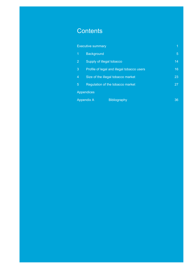## **Contents**

|                                          | <b>Executive summary</b>                   | 1              |
|------------------------------------------|--------------------------------------------|----------------|
| 1                                        | <b>Background</b>                          | $\overline{5}$ |
| $\overline{2}$                           | Supply of illegal tobacco                  | 14             |
| 3                                        | Profile of legal and illegal tobacco users |                |
| 4<br>Size of the illegal tobacco market  |                                            | 23             |
| 5<br>Regulation of the tobacco market    |                                            | 27             |
|                                          | <b>Appendices</b>                          |                |
| <b>Appendix A</b><br><b>Bibliography</b> |                                            | 36             |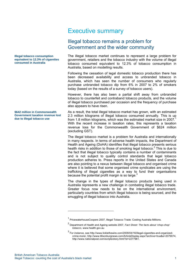#### **Illegal tobacco consumption equivalent to 12.3% of cigarettes consumed in Australia**

**\$642 million in Commonwealth Government taxation revenue lost due to illegal tobacco use** 

## Executive summary

### Illegal tobacco remains a problem for Government and the wider community

The illegal tobacco market continues to represent a large problem for government, retailers and the tobacco industry with the volume of illegal tobacco consumed equivalent to 12.3% of tobacco consumption in Australia, based on modelling results.

Following the cessation of legal domestic tobacco production there has been decreased availability and access to unbranded tobacco in Australia, which has seen the number of consumers who regularly purchase unbranded tobacco dip from 6% in 2007 to 2% of smokers today (based on the results of a survey of tobacco users).

However, there has also been a partial shift away from unbranded tobacco to counterfeit and contraband tobacco products, and the volume of illegal tobacco purchased per occasion and the frequency of purchase also appears to have risen.

As a result, the total illegal tobacco market has grown, with an estimated 2.3 million kilograms of illegal tobacco consumed annually. This is up from 1.8 million kilograms, which was the estimated market size in 2007. With the recent increase in taxation rates, this represents a taxation revenue loss for the Commonwealth Government of \$624 million (excluding GST).

The illegal tobacco market is a problem for Australia and internationally in many respects. In terms of adverse health impacts, the Department of Health and Ageing (DoHA) identifies that illegal tobacco presents serious health risks in addition to those of smoking legal tobacco.<sup>2</sup> This is due to the fact that illegal tobacco typically contains a number of contaminants and is not subject to quality control standards that legal tobacco production adheres to. Press reports in the United States and Canada are also pointing to a nexus between illegal tobacco and organised crime where it is believed that some organised crime syndicates are using the trafficking of illegal cigarettes as a way to fund their organisations because the potential profit margin is so large.<sup>3</sup>

The change in the types of illegal tobacco products being used in Australia represents a new challenge in combating illegal tobacco trade. Greater focus now needs to be on the international environment, particularly countries from which illegal tobacco is being sourced, and the smuggling of illegal tobacco into Australia.

1

<sup>&</sup>lt;sup>1</sup> PricewaterhouseCoopers 2007, Illegal Tobacco Trade: Costing Australia Millions.

<sup>2</sup> Department of Health and Ageing website 2007, *Fact Sheet: The facts about 'chop-chop' tobacco,* www.health.gov.au

<sup>3</sup> For instance, see http://www.ticklethewire.com/2009/04/16/illegal-cigarettes-and-organizedcrime-more/, http://www.tillsonburgnews.com/ArticleDisplay.aspx?archive=true&e=2079074, http://www.nationalpost.com/scripts/story.html?id=2277961.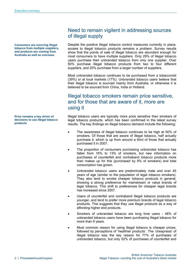**Consumers are sourcing illegal tobacco from multiple suppliers, and products are coming from Australia as well as overseas** 

**Price remains a key driver of decisions to use illegal tobacco products** 

### Need to remain vigilent in addressing sources of illegal supply

Despite the positive illegal tobacco control measures currently in place, access to illegal tobacco products remains a problem. Survey results show that the points of sale of illegal tobacco are abundant enough for most consumers to have multiple suppliers. Only 29% of illegal tobacco users purchase their unbranded tobacco from only one supplier. Over 50% purchase illegal tobacco products from two to four different suppliers, and 20% purchase from a larger number of suppliers.

Most unbranded tobacco continues to be purchased from a tobacconist (39%) or at local markets (17%). Unbranded tobacco users believe that their illegal tobacco is sourced mainly from Australia, or otherwise it is believed to be sourced from China, India or Holland.

### Illegal tobacco smokers remain price sensitive, and for those that are aware of it, more are using it

Illegal tobacco users are typically more price sensitive than smokers of legal tobacco products, which has been confirmed in the latest survey results. The key findings on illegal tobacco demand include the following:

- The awareness of illegal tobacco continues to be high at 50% of smokers. Of those that are aware of illegal tobacco, half actually purchase it, which is up from around a third of those that actually purchased it in 2007.
- The proportion of consumers purchasing unbranded tobacco has fallen from 16% to 13% of smokers, but new information on purchases of counterfeit and contraband tobacco products more than makes up for this (purchased by 8% of smokers) and total consumption has grown.
- Unbranded tobacco users are predominately male and over 45 years of age (similar to the population of legal tobacco smokers). They also tend to smoke cheaper tobacco products in general, showing a strong preference for mainstream or value brands of legal tobacco. This shift to preferences for cheaper legal brands has increased since 2007.
- Users of counterfeit and contraband illegal tobacco products are younger, and tend to prefer more premium brands of legal tobacco products. This suggests that they use illegal products as a way of affording higher end products.
- Smokers of unbranded tobacco are long time users 48% of unbranded tobacco users have been purchasing illegal tobacco for more than 9 years.
- Most common reason for using illegal tobacco is cheaper prices, followed by perceptions of 'healthier products'. The 'cheapness' of illegal tobacco was the key reason for 77% of purchases of unbranded tobacco, but only 52% of purchases of counterfeit and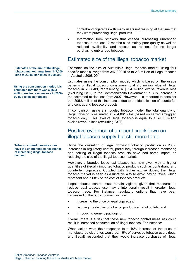contraband cigarettes with many users not realising at the time that they were purchasing illegal products.

• Information from smokers that ceased purchasing unbranded tobacco in the last 12 months sited mainly poor quality as well as reduced availability and access as reasons for no longer purchasing unbranded tobacco.

### Estimated size of the illegal tobacco market

Estimates on the size of Australia's illegal tobacco market, using four specific models, range from 347,000 kilos to 2.3 million of illegal tobacco in Australia 2008-09.

Estimates using the consumption model, which is based on the usage patterns of illegal tobacco consumers total 2.3 million kilos of illegal tobacco in 2008/09, representing a \$624 million excise revenue loss (excluding GST) to the Commonwealth Government, a 39% increase in the estimated excise loss from 2007. However, it is important to consider that \$95.8 million of this increase is due to the identification of counterfeit and contraband tobacco products.

In comparison, using a smuggled tobacco model, the total quantity of illegal tobacco is estimated at 264,061 kilos (based on seized smuggled tobacco only). This level of illegal tobacco is equal to a \$96.3 million excise revenue loss (excluding GST).

### Positive evidence of a recent crackdown on illegal tobacco supply but still more to do

Since the cessation of legal domestic tobacco production in 2007, increases in regulatory control, particularly through increased monitoring and seizing of illegal tobacco products have had some impact on reducing the size of the illegal tobacco market.

However, unbranded loose leaf tobacco has now given way to higher quantities of illegally imported tobacco products such as contraband and counterfeit cigarettes. Coupled with higher excise duties, the illegal tobacco market is seen as a lucrative way to avoid paying taxes, which represent about 68% of the cost of tobacco products.

Illegal tobacco control must remain vigilant, given that measures to reduce legal tobacco use may unintentionally result in greater illegal tobacco trade. For instance, regulatory options that have been canvassed in the public domain include:

- increasing the price of legal cigarettes;
- banning the display of tobacco products at retail outlets; and
- introducing generic packaging.

Overall, there is a risk that these new tobacco control measures could result in increased consumption of illegal tobacco. For instance:

When asked what their response to a 10% increase of the price of manufactured cigarettes would be, 16% of surveyed tobacco users (legal and illegal) responded that they would increase purchases of illegal

**Estimates of the size of the illegal tobacco market range from 347,000 kilos to 2.3 million kilos in 2008/09** 

**Using the consumption model, it is estimates that there was a \$624 million excise revenue loss in 2008- 09 due to illegal tobacco** 

**Tobacco control measures can have the unintended consequence of increasing illegal tobacco demand**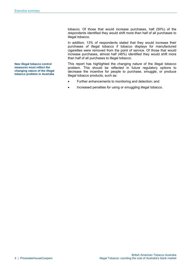tobacco. Of those that would increase purchases, half (50%) of the respondents identified they would shift more than half of all purchases to illegal tobacco.

In addition, 13% of respondents stated that they would increase their purchases of illegal tobacco if tobacco displays for manufactured cigarettes were removed from the point of service. Of those that would increase purchases, almost half (46%) identified they would shift more than half of all purchases to illegal tobacco.

This report has highlighted the changing nature of the illegal tobacco problem. This should be reflected in future regulatory options to decrease the incentive for people to purchase, smuggle, or produce illegal tobacco products, such as:

- Further enhancements to monitoring and detection; and
- Increased penalties for using or smuggling illegal tobacco.

**New illegal tobacco control measures must reflect the changing nature of the illegal tobacco problem in Australia**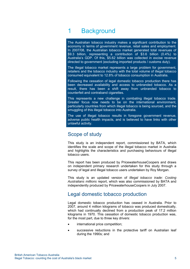## 1 Background

The Australian tobacco industry makes a significant contribution to the economy in terms of government revenue, retail sales and employment. In 2007/08, the Australian tobacco market generated total revenues of \$9.3 billion, representing a contribution of \$3.6 billion (0.4%) to Australia's GDP. Of this, \$5.62 billion was collected in excise revenue directed to government (excluding imported products / customs duty).

The illegal tobacco market represents a large problem for government, retailers and the tobacco industry with the total volume of illegal tobacco consumed equivalent to 12.8% of tobacco consumption in Australia.

Following the cessation of legal domestic tobacco production there has been decreased availability and access to unbranded tobacco. As a result, there has been a shift away from unbranded tobacco to counterfeit and contraband cigarettes.

This represents a new challenge in combating illegal tobacco trade. Greater focus now needs to be on the international environment, particularly countries from which illegal tobacco is being sourced, and the smuggling of this illegal tobacco into Australia.

The use of illegal tobacco results in foregone government revenue, adverse public health impacts, and is believed to have links with other unlawful activity.

### Scope of study

This study is an independent report, commissioned by BATA, which identifies the scale and scope of the illegal tobacco market in Australia and highlights the characteristics and purchasing behaviours of illegal tobacco users.

This report has been produced by PricewaterhouseCoopers and draws on independent primary research undertaken for this study through a survey of legal and illegal tobacco users undertaken by Roy Morgan.

This study is an updated version of *Illegal tobacco trade: Costing Australians millions* report, which was also commissioned by BATA and independently produced by PricewaterhouseCoopers in July 2007.

### Legal domestic tobacco production

Legal domestic tobacco production has ceased in Australia. Prior to 2007, around 4 million kilograms of tobacco was produced domestically, which had continually declined from a production peak of 17.2 million kilograms in 1970. This cessation of domestic tobacco production was, for the most part, due to three key drivers:

- international price competition;
- successive reductions in the protective tariff on Australian leaf during the 1990s; and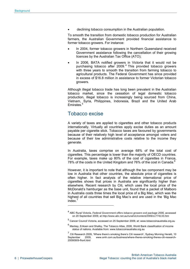declining tobacco consumption in the Australian population.

To smooth the transition from domestic tobacco production for Australian farmers, the Australian Government provided financial assistance to former tobacco growers. For instance:

- In 2004, former tobacco growers in Northern Queensland received Government assistance following the cancellation of their growing licences by the Australian Tax Office (ATO);
- In 2006, BATA notified growers in Victoria that it would not be purchasing tobacco after 2009.<sup>4</sup> This provided tobacco growers with three years to smooth the transition from farming tobacco to agricultural products. The Federal Government has since provided in excess of \$16.8 million in assistance to former Victorian tobacco growers.

Although illegal tobacco trade has long been prevalent in the Australian tobacco market, since the cessation of legal domestic tobacco production, illegal tobacco is increasingly being sourced from China, Vietnam, Syria, Philippines, Indonesia, Brazil and the United Arab Emirates.<sup>5</sup>

### Tobacco excise

1

A variety of taxes are applied to cigarettes and other tobacco products internationally. Virtually all countries apply excise duties as an amount payable per cigarette stick. Tobacco taxes are favoured by governments because of their relatively high level of acceptance amongst voters and because of their low administrative costs relative to the income they generate.

In Australia, taxes comprise on average 68% of the total cost of cigarettes. This percentage is lower than the majority of OECD countries. For example, taxes make up 80% of the cost of cigarettes in France, 78% of the costs in the United Kingdom and 76% of the cost in Canada.<sup>6</sup>  $\overline{a}$ 

However, it is important to note that although the tax component may be low in Australia that other countries, the absolute price of cigarettes is often higher. In fact analysis of the relative international price of cigarettes shows that prices in Australia are significantly higher than elsewhere. Recent research by Citi, which uses the local price of the McDonald's hamburger as the base unit, found that a packet of Malboro in Australia costs three times the local price of a Big Mac, which was the highest of all countries that sell Big Mac's and are used in the 'Big Mac  $index<sup>7</sup>$ 

<sup>4</sup> ABC Rural Victoria, *Federal Government offers tobacco growers exit package 2006,* accessed on 20 September 2009, at *http://www.abc.net.au/rural/vic/content/2006/s1774133.htm*

<sup>5</sup> Cancer Council Victoria, accessed on 25 September 2009, at: www.tobaccoinaustralia.org.au

<sup>6</sup> Mackay, Eriksen and Shafey, The Tobacco Atlas, 2006, World Bank classification of income status of nations. Available from: www.tobaccoinaustralia.org.au

 $7$  Citi Research 2009, 'Where there's smoking there's Citi research', Sydney Morning Herald, 10 September 2009, www.smh.com.au/business/where-theres-smoking-theres-citi-research-20090909-fho4.html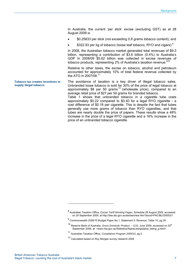In Australia, the current 'per stick' excise (excluding GST) as at 28 August 2009 is

- \$0.25833 per stick (not exceeding 0.8 grams tobacco content); and
- \$322.93 per kg of tobacco (loose leaf tobacco, RYO and cigars).<sup>8</sup>

In 2008, the Australian tobacco market generated total revenues of \$9.3 billion, representing a contribution of \$3.6 billion (0.4%) to Australia's GDP In 2008/09 \$5.62 billion was collected in excise revenues of tobacco products, representing 2% of Australia's taxation revenue.<sup>910</sup>

Relative to other taxes, the excise on tobacco, alcohol and petroleum accounted for approximately 10% of total federal revenue collected by the ATO in 2007/08.<sup>11</sup>

**Tobacco tax creates incentives to supply illegal tobacco** 

The avoidance of taxation is a key driver of illegal tobacco sales. Unbranded loose tobacco is sold for 30% of the price of legal tobacco at approximately  $$8$  per 50 grams<sup>12</sup> (wholesale price), compared to an average retail price of \$27 per 50 grams for branded tobacco.

Table 1 shows that unbranded tobacco in a cigarette tube costs approximately \$0.22 compared to \$0.40 for a legal RYO cigarette - a cost difference of \$0.18 per cigarette. This is despite the fact that tubes generally use more grams of tobacco than RYO cigarettes, and that tubes are nearly double the price of papers. These results show a 48% increase in the price of a legal RYO cigarette and a 16% increase in the price of an unbranded tobacco cigarette.

1

<sup>8</sup> Australian Taxation Office, *Excise Tariff Working Pages*, Schedule 28 August 2009, accessed on 24 September 2009, at http://law.ato.gov.au/atolaw/view.htm?docid=PAC/BL030002/1

<sup>9&</sup>lt;br>Commonwealth 2009/10 Budget Paper No.1, Statement 5: Revenue, Table 10, pg 29

<sup>&</sup>lt;sup>10</sup> Reserve Bank of Australia, *Gross Domestic Product -- G10*, June 2009, accessed on 20<sup>th</sup> September 2009, at: <www.rba.gov.au/Statistics/AlphaListing/alpha\_listing\_g.html>

<sup>11</sup> Australian Taxation Office, *Compliance Program 2009/10*, pg 4.

<sup>12</sup> Calculated based on Roy Morgan survey research 2009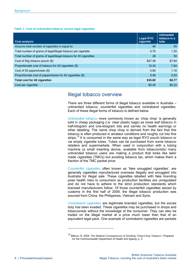#### **Table 1: Cost of unbranded tobacco versus legal cigarettes**

| <b>Cost analysis</b>                                             | <b>Legal RYO</b><br>cigarette | <b>Unbranded</b><br>tobacco in a<br>tube |
|------------------------------------------------------------------|-------------------------------|------------------------------------------|
| Assume total number of cigarettes is equal to:                   | 40                            | 40                                       |
| Total number of grams of legal/illegal tobacco per cigarette     | 0.70                          | 1.25                                     |
| Total number of grams of legal/illegal tobacco for 40 cigarettes | 28                            | 50                                       |
| Cost of 50q tobacco pouch (\$)                                   | \$27.39                       | \$7.84                                   |
| Proportionate cost of tobacco for 40 cigarettes (\$)             | 15.34                         | 7.84                                     |
| Cost of 50 papers/tubes (\$)                                     | 0.60                          | 1.16                                     |
| Proportionate cost of papers/tubes for 40 cigarettes (\$)        | 0.48                          | 0.93                                     |
| <b>Total cost for 40 cigarettes</b>                              | \$15.82                       | \$8.77                                   |
| Cost per cigarette                                               | \$0.40                        | \$0.22                                   |

### Illegal tobacco overview

There are three different forms of illegal tobacco available in Australia – unbranded tobacco, counterfeit cigarettes and contraband cigarettes. Each of these illegal forms of tobacco is defined below.

*Unbranded tobacco* more commonly known as 'chop chop' is generally sold in cheap packaging (i.e. clear plastic bags) as loose leaf tobacco in half-kilogram and one-kilogram lots and carries no health warnings or other labelling. The name chop chop is derived from the fact that this tobacco is often produced in amateur conditions and roughly cut into fine strips.<sup>13</sup> It is consumed in the same way as legal RYO pouch tobacco or via empty cigarette tubes. Tubes can be purchased from some tobacco retailers and supermarkets. When used in conjunction with a tubing machine (a small inserting device, available from tobacconists) many unbranded tobacco users are making a product that looks like tailor made cigarettes (TMCs) but avoiding tobacco tax, which makes them a fraction of the TMC packet price.

*Counterfeit cigarettes* often known as 'fake smuggled cigarettes', are generally cigarettes manufactured overseas illegally and smuggled into Australia for illegal sale. These cigarettes labelled with fake branding pose health risks to consumers as production facilities are unregulated and do not have to adhere to the strict production standards which licensed manufacturers follow. Of those counterfeit cigarettes seized by customs in the first half of 2009, the illegal tobacco production was sourced from China, the Philippines, Vietnam and Syria.

*Contraband cigarettes* are legitimate branded cigarettes, but the excise duty has been evaded. These cigarettes may be purchased in shops and tobacconists without the knowledge of the consumer. They can also be traded on the illegal market at a price much lower than that of an equivalent legal pack. One example of contraband cigarettes are packets

-

<sup>13</sup> Bittoun, R. 2004, *The Medical Consequences of Smoking "Chop-Chop Tobacco"*, Prepared for the Commonwealth Department of Health and Ageing, p. 3.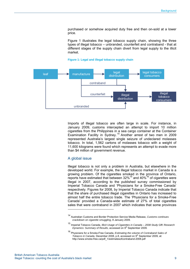purchased or somehow acquired duty free and then on-sold at a lower price.

Figure 1 illustrates the legal tobacco supply chain, showing the three types of illegal tobacco – unbranded, counterfeit and contraband - that at different stages of the supply chain divert from legal supply to the illicit market.

#### **Figure 1: Legal and illegal tobacco supply chain**



Imports of illegal tobacco are often large in scale. For instance, in January 2009, customs intercepted an attempt to import 10 million cigarettes from the Philippines in a sea cargo container at the Container Examination Facility in Sydney.<sup>14</sup> Another arrest of two men in 2009 represented Australia's largest single seizure of undeclared molasses tobacco. In total, 1,562 cartons of molasses tobacco with a weight of 11,600 kilograms were found which represents an attempt to evade more than \$4 million of government revenue.

#### A global issue

-

Illegal tobacco is not only a problem in Australia, but elsewhere in the developed world. For example, the illegal tobacco market in Canada is a growing problem. Of the cigarettes smoked in the province of Ontario, reports have estimated that between  $32\%^{15}$  and  $40\%^{16}$  of cigarettes were illegal in 2007, according to the published survey commissioned by Imperial Tobacco Canada and 'Physicians for a Smoke-Free Canada' respectively. Figures for 2008, by Imperial Tobacco Canada indicate that that the share of purchased illegal cigarettes in Ontario has increased to almost half the entire tobacco trade. The 'Physicians for a Smoke-Free Canada' provided a Canada-wide estimate of 27% of total cigarettes sales that were contraband in 2007 which indicates that some provinces

<sup>14</sup> Australian Customs and Border Protection Service Media Release, *Customs continues crackdown on cigarette smuggling*, 8 January 2009.

<sup>15</sup> Imperial Tobacco Canada, *Illicit Usage of Cigarettes in Canada – 2008 Study GfK Research*  Dynamics: Summary of Results, accessed on 9<sup>th</sup> September 2009.

<sup>16</sup> Physicians for a Smoke-Free Canada, *Estimating the volume of Contraband Sales of Tobacco in Canada, December 2008, p.8, accessed on 9<sup>th</sup> September 2009, at:* http://www.smoke-free.ca/pdf\_1/estimatesofcontraband-2008.pdf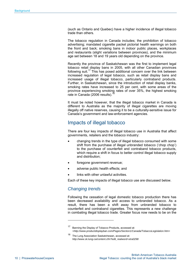(such as Ontario and Quebec) have a higher incidence of illegal tobacco trade than others.

The tobacco regulation in Canada includes; the prohibition of tobacco advertising; mandated cigarette packet pictorial health warnings on both the front and back; smoking bans in indoor public places, workplaces and restaurants (slight variations between provinces), and the minimum age set between 18 and 19 years old depending on the province.

Recently the province of Saskatchewan was the first to implement legal tobacco retail display bans in 2005, with all other Canadian provinces following suit.<sup>17</sup> This has posed additional concern over the link between increased regulation of legal tobacco, such as retail display bans and increased usage of illegal tobacco, particularly contraband products. Further, in Saskatchewan, since the introduction of retail display banks, smoking rates have increased to 25 per cent, with some areas of the province experiencing smoking rates of over 35%, the highest smoking rate in Canada (2006 results).

It must be noted however, that the illegal tobacco market in Canada is different to Australia as the majority of illegal cigarettes are moving illegally off native reserves, causing it to be a culturally-sensitive issue for Canada's government and law-enforcement agencies.

### Impacts of illegal tobacco

There are four key impacts of illegal tobacco use in Australia that affect governments, retailers and the tobacco industry:

- changing trends in the type of illegal tobacco consumed with some shift from the purchase of illegal unbranded tobacco ('chop chop') to the purchase of counterfeit and contraband tobacco products, which require a shift in focus to better control illegal tobacco supply and distribution;
- foregone government revenue;
- adverse public health effects; and
- links with other unlawful activities.

Each of these key impacts of illegal tobacco use are discussed below.

### *Changing trends*

-

Following the cessation of legal domestic tobacco production there has been decreased availability and access to unbranded tobacco. As a result, there has been a shift away from unbranded tobacco to counterfeit and contraband cigarettes. This represents a new challenge in combating illegal tobacco trade. Greater focus now needs to be on the

<sup>17</sup> Banning the Display of Tobacco Products, accessed at: *<http://www.productdisplayban.com/Pages/Section1/Canada/TobaccoLegislation.htm>*

<sup>18</sup> The Lung Association Saskatchewan, accessed at: *http://www.sk.lung.ca/content.cfm?edit\_realword=xtra0298*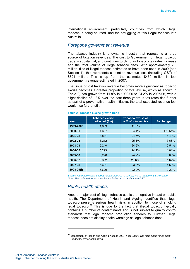international environment, particularly countries from which illegal tobacco is being sourced, and the smuggling of this illegal tobacco into Australia.

#### *Foregone government revenue*

The tobacco industry is a dynamic industry that represents a large source of taxation revenues. The cost to Government of illegal tobacco trade is substantial, and continues to climb as tobacco tax rates increase and the total volume of illegal tobacco rises. With approximately 2.3 million kilos of illegal tobacco estimated to have been used in 2009 (see Section 1), this represents a taxation revenue loss (including GST) of \$624 million. This is up from the estimated \$450 million in lost government revenue estimated in 2007.

The issue of lost taxation revenue becomes more significant as tobacco excise becomes a greater proportion of total excise, which as shown in Table 2, has grown from 11.8% in 1999/00 to 24.2% in 2005/06, with a slight decline of 1.3% over the past three years. If tax rates rise further as part of a preventative health initiative, the total expected revenue lost would rise further still.

| Year           | Tobacco excise<br>collected (\$m) | Tobacco excise as<br>a % of total excise | % change |
|----------------|-----------------------------------|------------------------------------------|----------|
| 1999-2000      | 1,659                             | 11.8%                                    |          |
| 2000-01        | 4,637                             | 24.4%                                    | 179.51%  |
| 2001-02        | 4,841                             | 24.7%                                    | 4.40%    |
| 2002-03        | 5,212                             | 25.1%                                    | 7.66%    |
| 2003-04        | 5,240                             | 24.9%                                    | 0.54%    |
| 2004-05        | 5.293                             | 24.1%                                    | 1.01%    |
| 2005-06        | 5,296                             | 24.2%                                    | 0.06%    |
| 2006-07        | 5,382                             | $23.6\%$ .                               | 1.62%    |
| 2007-08        | 5,631                             | 23.9%                                    | 4.63%    |
| $2008 - 09(f)$ | 5,620                             | 22.9%                                    | $-0.20%$ |

#### **Table 2: Tobacco excise growth trend**

*Source: Commonwealth Budget Papers 2000/01 -2009/10, No. 1, Statement 5: Revenue. Note: The collected tobacco excise excludes customs duty and GST.* 

### *Public health effects*

Another major cost of illegal tobacco use is the negative impact on public health. The Department of Health and Ageing identifies that illegal tobacco presents serious health risks in addition to those of smoking legal tobacco.<sup>19</sup> This is due to the fact that illegal tobacco typically contains a number of contaminants and is not subject to quality control standards that legal tobacco production adheres to. Further, illegal tobacco does not display health warnings as legal tobacco does.

-

<sup>19</sup> Department of Health and Ageing website 2007, *Fact Sheet: The facts about 'chop-chop' tobacco,* www.health.gov.au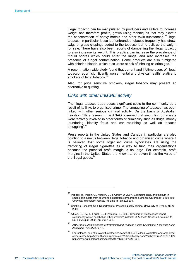Illegal tobacco can be manipulated by producers and sellers to increase weight and therefore profits, grown using techniques that may elevate the concentration of heavy metals and other toxic substances.<sup>20</sup> Illegal tobacco, in particular loose leaf unbranded tobacco frequently has straw, twigs or grass clippings added to the tobacco leaf to bulk up the weight for sale. There have also been reports of dampening the illegal tobacco to also increase its weight. This practice can increase the prevalence of mould spores which could enter the lungs, and also increases the presence of fungal contamination. Some products are also fumigated with chlorine bleach, which puts users at risk of inhaling chlorine gas. $21$ 

A recent nation-wide study found that current and lifetime users of illegal tobacco report 'significantly worse mental and physical health' relative to smokers of legal tobacco.<sup>2</sup>

Also, for price sensitive smokers, illegal tobacco may present an alternative to quitting.

#### *Links with other unlawful activity*

The illegal tobacco trade poses significant costs to the community as a result of its links to organised crime. The smuggling of tobacco has been linked with other serious criminal activity. On the basis of Australian Taxation Office research, the ANAO observed that smuggling organisers were 'actively involved in other forms of criminality such as drugs, money laundering, identity fraud and car rebirthing as well as tobacco smuggling<sup>'.23</sup>

Press reports in the United States and Canada in particular are also pointing to a nexus between illegal tobacco and organised crime where it is believed that some organised crime syndicates are using the trafficking of illegal cigarettes as a way to fund their organisations because the potential profit margin is so large. For example, profit margins in the United States are known to be seven times the value of the illegal goods.<sup>24</sup>

-

<sup>20</sup> Pappas, R., Polzin, G., Watson, C., & Ashley, D, 2007, 'Cadmium, lead, and thallium in smoke particulate from counterfeit cigarettes compared to authentic US brands', *Food and Chemical Toxicology Journal,* Volume 45, pp 202-209.

<sup>21</sup> Smoking Research Unit, Department of Psychological Medicine, University of Sydney NSW 2003

<sup>22</sup> Aitken, C., Fry, T., Farrell, L., & Pellegrini, B., 2009, 'Smokers of illicit tobacco report significantly worse health than other smokers', *Nicotine & Tobacco Research*, Volume 11, No. 8 9 August 2009), pp. 996-1001.

<sup>23</sup> ANAO 2006, *Administration of Petroleum and Tobacco Excise Collections: Follow-up Audit, Australian Tax Office*, p. 15.

<sup>24</sup> For instance, see http://www.ticklethewire.com/2009/04/16/illegal-cigarettes-and-organizedcrime-more/, http://www.tillsonburgnews.com/ArticleDisplay.aspx?archive=true&e=2079074, http://www.nationalpost.com/scripts/story.html?id=2277961.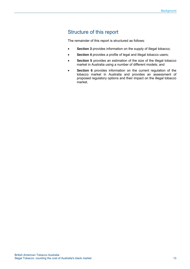### Structure of this report

The remainder of this report is structured as follows:

- **Section 3** provides information on the supply of illegal tobacco;
- **Section 4** provides a profile of legal and illegal tobacco users;
- **Section 5** provides an estimation of the size of the illegal tobacco market in Australia using a number of different models; and
- **Section 6** provides information on the current regulation of the tobacco market in Australia and provides an assessment of proposed regulatory options and their impact on the illegal tobacco market.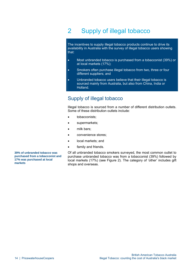## 2 Supply of illegal tobacco

The incentives to supply illegal tobacco products continue to drive its availability in Australia with the survey of illegal tobacco users showing that:

- Most unbranded tobacco is purchased from a tobacconist (39%) or at local markets (17%);
- Smokers often purchase illegal tobacco from two, three or four different suppliers; and
- Unbranded tobacco users believe that their illegal tobacco is sourced mainly from Australia, but also from China, India or Holland.

### Supply of illegal tobacco

Illegal tobacco is sourced from a number of different distribution outlets. Some of these distribution outlets include:

- tobacconists;
- supermarkets;
- milk bars;
- convenience stores;
- local markets; and
- family and friends.

**39% of unbranded tobacco was purchased from a tobacconist and 17% was purchased at local markets** 

Of all unbranded tobacco smokers surveyed, the most common outlet to purchase unbranded tobacco was from a tobacconist (39%) followed by local markets (17%) (see Figure 2). The category of 'other' includes gift shops and overseas.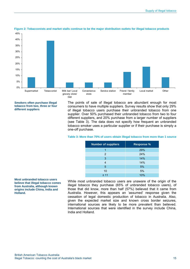

#### **Figure 2: Tobacconists and market stalls continue to be the major distribution outlets for illegal tobacco products**

**Smokers often purchase illegal tobacco from two, three or four different suppliers** 

The points of sale of illegal tobacco are abundant enough for most consumers to have multiple suppliers. Survey results show that only 29% of illegal tobacco users purchase their unbranded tobacco from one supplier. Over 50% purchased their unbranded tobacco from two to four different suppliers, and 20% purchase from a larger number of suppliers (see Table 3). The data does not specify how frequent an unbranded tobacco smoker uses a particular supplier or if their purchase is simply a one-off purchase.

| <b>Number of suppliers</b> | <b>Response %</b> |  |
|----------------------------|-------------------|--|
|                            | 29%               |  |
| 2                          | 24%               |  |
| 3                          | 14%               |  |
| 4                          | 14%               |  |
| 5                          | 5%                |  |
| 10                         | 5%                |  |
| $\geq 11$                  | 10%               |  |

#### **Table 3: More than 70% of users obtain illegal tobacco from more than 1 source**

**Most unbranded tobacco users believe that illegal tobacco comes from Australia, although known origins include China, India and Holland.** 

While most unbranded tobacco users are unaware of the origin of the illegal tobacco they purchase (65% of unbranded tobacco users), of those that did know, more than half (57%) believed that it came from Australia. However, this appears an 'assumed' response given the cessation of legal domestic production of tobacco in Australia. Also, given the expected market size and known cross border seizures, international sources are likely to be more prevalent than believed. International sources that were identified in the survey include China, India and Holland.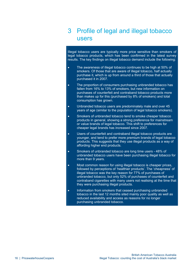## 3 Profile of legal and illegal tobacco users

Illegal tobacco users are typically more price sensitive than smokers of legal tobacco products, which has been confirmed in the latest survey results. The key findings on illegal tobacco demand include the following:

- The awareness of illegal tobacco continues to be high at 50% of smokers. Of those that are aware of illegal tobacco, half actually purchase it, which is up from around a third of those that actually purchased it in 2007.
- The proportion of consumers purchasing unbranded tobacco has fallen from 16% to 13% of smokers, but new information on purchases of counterfeit and contraband tobacco products more than makes up for this (purchased by 8% of smokers) and total consumption has grown.
- Unbranded tobacco users are predominately male and over 45 years of age (similar to the population of legal tobacco smokers).
- Smokers of unbranded tobacco tend to smoke cheaper tobacco products in general, showing a strong preference for mainstream or value brands of legal tobacco. This shift to preferences for cheaper legal brands has increased since 2007.
- Users of counterfeit and contraband illegal tobacco products are younger, and tend to prefer more premium brands of legal tobacco products. This suggests that they use illegal products as a way of affording higher end products.
- Smokers of unbranded tobacco are long time users 48% of unbranded tobacco users have been purchasing illegal tobacco for more than 9 years.
- Most common reason for using illegal tobacco is cheaper prices, followed by perceptions of 'healthier products'. The 'cheapness' of illegal tobacco was the key reason for 77% of purchases of unbranded tobacco, but only 52% of purchases of counterfeit and contraband cigarettes with many users not realising at the time that they were purchasing illegal products.
- Information from smokers that ceased purchasing unbranded tobacco in the last 12 months sited mainly poor quality as well as reduced availability and access as reasons for no longer purchasing unbranded tobacco.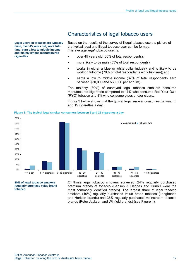**Legal users of tobacco are typically male, over 45 years old, work fulltime, earn a low to middle income and mainly smoke manufactured cigarettes** 

### Characteristics of legal tobacco users

Based on the results of the survey of illegal tobacco users a picture of the typical legal and illegal tobacco user can be formed. The average *legal* tobacco user is:

- over 45 years old (60% of total respondents):
- more likely to be male (53% of total respondents);
- works in either a blue or white collar industry and is likely to be working full-time (79% of total respondents work full-time); and
- earns a low to middle income (37% of total respondents earn between \$30,000 and \$60,000 per annum).

The majority (80%) of surveyed legal tobacco smokers consume manufactured cigarettes compared to 17% who consume Roll Your Own (RYO) tobacco and 3% who consume pipes and/or cigars.

Figure 3 below shows that the typical legal smoker consumes between 5 and 15 cigarettes a day.



**Figure 3: The typical legal smoker consumers between 5 and 15 cigarettes a day** 

**40% of legal tobacco smokers regularly purchase value brand tobacco** 

Of those legal tobacco smokers surveyed, 24% regularly purchased premium brands of tobacco (Benson & Hedges and Dunhill were the most commonly identified brands). The largest share of legal tobacco smokers (40%) regularly purchased value brand tobacco (Longbeach and Horizon brands) and 36% regularly purchased mainstream tobacco brands (Peter Jackson and Winfield brands) (see Figure 4).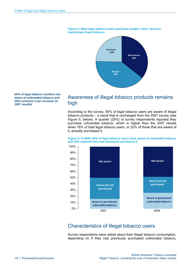

#### **Figure 4: Most legal tobacco users purchase budget 'value' brand or mainstream brand tobacco**

**50% of legal tobacco smokers are aware of unbranded tobacco and 25% consume it (an increase on 2007 results)** 

### Awareness of illegal tobacco products remains high

According to the survey, 50% of legal tobacco users are aware of illegal tobacco products – a result that is unchanged from the 2007 survey (see Figure 5, below). A quarter (25%) of survey respondents reported they purchase unbranded tobacco, which is higher than the 2007 results when 16% of total legal tobacco users, or 32% of those that are aware of it, actually purchased it.

#### **Figure 5: In 2009, 50% of legal tobacco users were aware of unbranded tobacco and 25% reported they had previously purchased it**



## Characteristics of illegal tobacco users

Survey respondents were asked about their illegal tobacco consumption, depending on if they had previously purchased unbranded tobacco,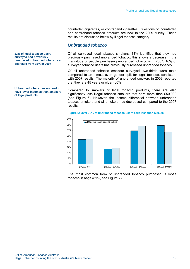counterfeit cigarettes, or contraband cigarettes. Questions on counterfeit and contraband tobacco products are new to the 2009 survey. These results are discussed below by illegal tobacco category.

#### *Unbranded tobacco*

Of all surveyed legal tobacco smokers, 13% identified that they had previously purchased unbranded tobacco, this shows a decrease in the magnitude of people purchasing unbranded tobacco – in 2007, 16% of surveyed tobacco users has previously purchased unbranded tobacco.

Of all unbranded tobacco smokers surveyed, two-thirds were male compared to an almost even gender split for legal tobacco, consistent with 2007 results. The majority of unbranded smokers in 2009 reported that they are 45 years or older (60%).

Compared to smokers of legal tobacco products, there are also significantly less illegal tobacco smokers that earn more than \$50,000 (see Figure 6). However, the income differential between unbranded tobacco smokers and all smokers has decreased compared to the 2007 results.

#### **Figure 6: Over 70% of unbranded tobacco users earn less than \$50,000**



The most common form of unbranded tobacco purchased is loose tobacco in bags (81%, see Figure 7).

**13% of legal tobacco users surveyed had previously purchased unbranded tobacco - a decrease from 16% in 2007** 

**Unbranded tobacco users tend to have lower incomes than smokers of legal products**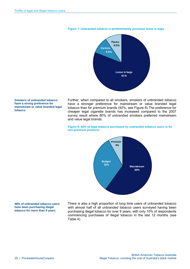

#### **Figure 7: Unbranded tobacco is predominantly purchase loose in bags**

**Smokers of unbranded tobacco have a strong preference for mainstream or value branded legal tobacco** 

Further, when compared to all smokers, smokers of unbranded tobacco have a stronger preference for mainstream or value branded legal tobacco than for premium brands (92%, see Figure 8).The preference for cheaper legal cigarette brands has increased compared to the 2007 survey result where 80% of unbranded smokers preferred mainstream and value legal brands.

#### **Figure 8: 92% of legal tobacco purchased by unbranded tobacco users is for non-premium products**



**48% of unbranded tobacco users have been purchasing illegal tobacco for more than 9 years** 

There is also a high proportion of long time users of unbranded tobacco with almost half of all unbranded tobacco users surveyed having been purchasing illegal tobacco for over 9 years, with only 10% of respondents commencing purchases of illegal tobacco in the last 12 months (see Table 4).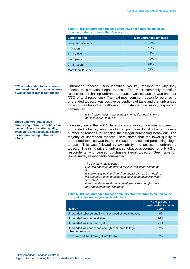| <b>Length of time</b> | % of unbranded smokers |
|-----------------------|------------------------|
| Less than one year    | 10%                    |
| 1 $-3$ years          | 19%                    |
| $4 - 6$ years         | 14%                    |
| $6 - 8$ years         | 10%                    |
| $9 - 11$ years        | 24%                    |
| More than 11 years    | 24%                    |

#### **Table 4: 48% of unbranded tobacco users have been purchasing illegal tobacco products for more than 9 years**

#### **77% of unbranded tobacco users purchased illegal tobacco because it was cheaper that legal tobacco**

**Those smokers that ceased purchasing unbranded tobacco in the last 12 months sited quality, availability and access as reasons for not purchasing unbranded** 

**tobacco** 

Unbranded tobacco users identified two key reasons for why they choose to purchase illegal tobacco. The most commonly identified reason for purchasing unbranded tobacco was because it was cheaper (77% of total responses). The next most common reason for purchasing unbranded tobacco was positive perceptions of taste and that unbranded tobacco was less of a health risk. For instance, one survey respondent commented:

> *'It is cheaper, doesn't have many chemicals, I don't know if that is true but I think so'*

However, since the 2007 illegal tobacco survey, previous smokers of unbranded tobacco, whom no longer purchase illegal tobacco, gave a number of reasons for ceasing their illegal purchasing behaviour. The majority of unbranded tobacco users stated that the lower quality of unbranded tobacco was the main reason they ceased purchasing illegal tobacco. This was followed by availability and access to unbranded tobacco. The rising price of unbranded tobacco accounted for only 7% of respondents who ceased purchasing illegal tobacco (See Table 5). Some survey respondents commented:

*'The contact I had is gone'* 

*'I just did not have the time to roll it, it was inconvenient for me'* 

*'It is now risky buying chop chop because it can be mouldy or wet and has a taste of being soaked in something like water or alcohol'* 

*'It was harsh on the throat. I developed a bad cough worse than smoking normal cigarettes"* 

#### **Table 5: 40% of unbranded tobacco smokers stopped purchasing it because the quality was not as good as legal tobacco**

| <b>Reason</b>                                                        | % of previous<br>unbranded tobacco<br><b>users</b> |
|----------------------------------------------------------------------|----------------------------------------------------|
| Unbranded tobacco quality isn't as good as legal tobacco             | 40%                                                |
| Unbranded was not available                                          | 26%                                                |
| Unbranded was harder to get                                          | 21%                                                |
| Unbranded was not cheap enough compared to legal<br>tobacco products | 7%                                                 |
| I was worried that I may get into trouble                            | 7%                                                 |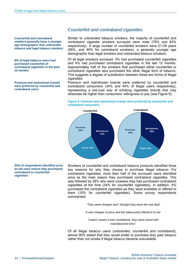**Counterfeit and contraband smokers generally have a younger age demographic than unbranded tobacco and legal tobacco smokers** 

**8% of legal tobacco users had purchased counterfeit of contraband cigarettes in the past 12 months** 

**Premium and mainstream brands were preferred by counterfeit and contraband users** 

#### *Counterfeit and contraband cigarettes*

Similar to unbranded tobacco smokers, the majority of counterfeit and contraband cigarette smokers surveyed were male (78% and 83% respectively). A large number of counterfeit smokers were 21-39 years (56%, and 49% for contraband smokers), a generally younger age demographic than legal smokers and unbranded tobacco smokers.

Of all legal smokers surveyed, 4% had purchased counterfeit cigarettes and 4% had purchased contraband cigarettes in the last 12 months. Approximately half of the smokers that purchased either counterfeit or contraband cigarettes also purchased the other illegal form of tobacco. This suggests a degree of substitution between these two forms of illegal cigarettes.

Premium and mainstream brands were preferred by counterfeit and contraband consumers (34% and 44% of illegal users respectively), representing a low-cost way of smoking cigarettes brands that may otherwise be higher than consumers' willingness to pay (see Figure 9).





#### **52% of respondents identified price as the main reason they purchased contraband or counterfeit cigarettes**

Smokers of counterfeit and contraband tobacco products identified three key reasons for why they choose to purchase illegal tobacco. For contraband cigarettes, more than half of the surveyed users identified price as the main reason they purchased contraband cigarettes. This was followed by 28% who were unaware they had purchased contraband cigarettes at the time (34% for counterfeit cigarettes). In addition, 8% purchased the contraband cigarettes as they were available or offered to them (10% for counterfeit cigarettes). Some survey respondents commented:

 *'They were cheaper and I thought they were the real deal'* 

*'It was cheaper in price and the tobacconist offered it to me'*

*'I wasn't aware it was contraband, they were mixed with manufactured ones'* 

Of all illegal tobacco users (unbranded, counterfeit and contraband), almost 90% stated that they would prefer to purchase duty paid tobacco rather than not smoke if illegal tobacco became unavailable.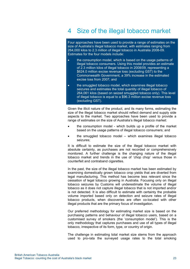## 4 Size of the illegal tobacco market

Four approaches have been used to provide a range of estimates on the size of Australia's illegal tobacco market, with estimates ranging from 264,000 kilos to 2.3 million of illegal tobacco in Australia 2008-09. Estimates for the four models include:

- the consumption model, which is based on the usage patterns of illegal tobacco consumers. Using this model provides an estimate of 2.3 million kilos of illegal tobacco in 2008/09, representing a \$624.0 million excise revenue loss (excluding GST) to the Commonwealth Government, a 39% increase in the estimated excise loss from 2007; and
- the smuggled tobacco model, which examines illegal tobacco seizures and estimates the total quantity of illegal tobacco of 264,061 kilos (based on seized smuggled tobacco only). This level of illegal tobacco is equal to a \$96.3 million excise revenue loss (excluding GST).

Given the illicit nature of the product, and its many forms, estimating the size of the illegal tobacco market should reflect demand and supply side aspects to the market. Two approaches have been used to provide a range of estimates on the size of Australia's illegal tobacco market:

- the consumption model which builds up a profile of the market based on the usage patterns of illegal tobacco consumers; and
- the smuggled tobacco model which examines illegal tobacco seizures;

It is difficult to estimate the size of the illegal tobacco market with absolute certainty, as purchases are not recorded or comprehensively monitored. A further challenge is the changing nature of the illegal tobacco market and trends in the use of 'chop chop' versus those in counterfeit and contraband cigarettes.

In the past, the size of the illegal tobacco market has been estimated by examining domestically grown tobacco crop yields that are diverted from legal manufacturing. This method has become less relevant since the cessation of legal tobacco growing in Australia. Focusing only on illegal tobacco seizures by Customs will underestimate the volume of illegal tobacco as it does not capture illegal tobacco that is not imported and/or is not detected. It is also difficult to estimate with certainty the probable volume imported based only on detection and seizure rates of illegal tobacco products, when discoveries are often co-located with other illegal products that are the primary focus of investigation.

Our preferred methodology for estimating market size is based on the purchasing patterns and behaviour of illegal tobacco users, based on a customised survey of smokers (the 'consumption model'). This is the only methodology that captures purchases and use of all types of illegal tobacco, irrespective of its form, type, or country of origin.

The challenge in estimating total market size stems from the approach used to pro-rata the surveyed usage rates to the total smoking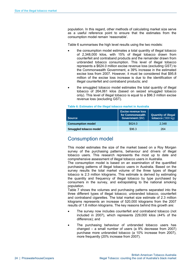population. In this regard, other methods of calculating market size serve as a useful reference point to ensure that the estimates from the consumption model remain 'reasonable'.

Table 6 summarises the high level results using the two models:

- the consumption model estimates a total quantity of illegal tobacco of 2,348,000 kilos, with 15% of illegal tobacco drawn from counterfeit and contraband products and the remainder drawn from unbranded tobacco consumption. This level of illegal tobacco represents a \$624.0 million excise revenue loss (excluding GST) to the Commonwealth Government, a 39% increase in the estimated excise loss from 2007. However, it must be considered that \$95.8 million of the excise loss increase is due to the identification of illegal counterfeit and contraband products; and
- the smuggled tobacco model estimates the total quantity of illegal tobacco of 264,061 kilos (based on seized smuggled tobacco only). This level of illegal tobacco is equal to a \$96.3 million excise revenue loss (excluding GST).

| <b>Source</b>            | <b>Excise revenue loss</b><br>for Commonwealth<br><b>Government (\$M)</b> | <b>Quantity of illegal</b><br>tobacco ('000 kg) |
|--------------------------|---------------------------------------------------------------------------|-------------------------------------------------|
| <b>Consumption model</b> | \$624.0                                                                   | 2.348                                           |
| Smuggled tobacco model   | \$96.3                                                                    | 264                                             |

#### **Table 6: Estimates of the illegal tobacco market in Australia**

### Consumption model

This model estimates the size of the market based on a Roy Morgan survey of the purchasing patterns, behaviour and drivers of illegal tobacco users. This research represents the most up to date and comprehensive assessment of illegal tobacco users in Australia.

The consumption model is based on an examination of the quantified purchasing patterns of illegal tobacco users in Australia. Based on the survey results the total market volume of the three types of illegal tobacco is 2.3 million kilograms. This estimate is derived by estimating the quantity and frequency of illegal tobacco by type purchased by consumers in the survey, and extrapolating to the national smoking population.

Table 7 shows the volumes and purchasing patterns separated into the three different types of illegal tobacco; unbranded tobacco, counterfeit and contraband cigarettes. The total market size estimate of 2.3 million kilograms represents an increase of 520,000 kilograms from the 2007 results of 1.8 million kilograms. The key reasons behind this growth are:

- The survey now includes counterfeit and contraband tobacco (not included in 2007), which represents 229,000 kilos (44% of the difference); and
- The purchasing behaviour of unbranded tobacco users has changed – a small number of users (a 9% decrease from 2007) purchase more unbranded tobacco (a 10% increase from 2007), more frequently (20% increase from 2007).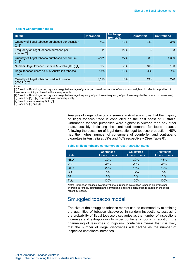#### **Table 7: Consumption model**

| <b>Detail</b>                                                           | <b>Unbranded</b> | % change<br>from 2007 | Counterfeit | <b>Contraband</b> |
|-------------------------------------------------------------------------|------------------|-----------------------|-------------|-------------------|
| Quantity of illegal tobacco purchased per occasion<br>$(g)$ [1]         | 403              | 10%                   | 243         | 350               |
| Frequency of illegal tobacco purchase per<br>annum [2]                  | 11               | <b>20%</b>            | 3           | 3                 |
| Quantity of illegal tobacco purchased per annum<br>$(g)$ [3]            | 4181             | 27%                   | 830         | 1.389             |
| Number illegal tobacco users in Australia ('000) [4]                    | 507              | $-9%$                 | 160         | 160               |
| Illegal tobacco users as % of Australian tobacco<br>users               | 13%              | $-19%$                | 4%          | $4\%$             |
| Quantity of illegal tobacco used in Australia<br>$(000 \text{ kg})$ [5] | 2,119            | 16%                   | 133         | 228               |

Notes:

[1] Based on Roy Morgan survey data: weighted average of grams purchased per number of consumers, weighted to reflect composition of loose versus stick purchased in the survey sample.

[2] Based on Roy Morgan survey data: weighted average frequency of purchases (frequency of purchase weighted by number of consumers)

[3] Based on [1] & [2] combined to an annual quantity

[4] Based on extrapolating [5] to [6]

[5] Based on [3] and [4]

Analysis of illegal tobacco consumers in Australia shows that the majority of illegal tobacco trade is conducted on the east coast of Australia. Unbranded tobacco purchases were highest in Victoria than any other state, possibly indicating the continued demand for loose tobacco following the cessation of legal domestic legal tobacco production. NSW had the highest number of consumers of counterfeit and contraband cigarettes in Australia at 39% and 46% respectively (See Table 8).

| <b>State</b> | Unbranded<br>tobacco users | Counterfeit<br>tobacco users | Contraband<br>tobacco users |
|--------------|----------------------------|------------------------------|-----------------------------|
| <b>NSW</b>   | 32%                        | 39%                          | 46%                         |
| <b>VIC</b>   | 36%                        | 29%                          | 34%                         |
| QLD          | 22%                        | 15%                          | 12%                         |
| <b>WA</b>    | 5%                         | 12%                          | 5%                          |
| <b>SA</b>    | 6%                         | 2%                           | 2%                          |
| Total        | 100%                       | 100%                         | 100%                        |

#### **Table 8: Illegal tobacco consumers across Australian states**

Note: Unbranded tobacco average volume purchased calculation is based on grams per average purchase, counterfeit and contraband cigarettes calculation is based on the most recent purchase.

### Smuggled tobacco model

The size of the smuggled tobacco market can be estimated by examining the quantities of tobacco discovered in random inspections, assessing the probability of illegal tobacco discoveries as the number of inspections increases and extrapolation to wider container imports. In addition, the channelling of resources to 'high risk' containers means that it is likely that the number of illegal discoveries will decline as the number of inspected containers increases.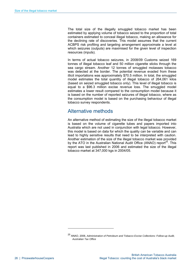The total size of the illegally smuggled tobacco market has been estimated by applying volume of tobacco seized to the proportion of total containers estimated to conceal illegal tobacco, making an allowance for the declining rate of discoveries. This model assumes that the current ACBPS risk profiling and targeting arrangement approximate a level at which seizures (outputs) are maximised for the given level of inspection resources (inputs).

In terms of actual tobacco seizures, in 2008/09 Customs seized 169 tonnes of illegal tobacco leaf and 50 million cigarette sticks through the sea cargo stream. Another 12 tonnes of smuggled molasses tobacco was detected at the border. The potential revenue evaded from these illicit importations was approximately \$70.5 million. In total, the smuggled model estimates the total quantity of illegal tobacco of 264,061 kilos (based on seized smuggled tobacco only). This level of illegal tobacco is equal to a \$96.3 million excise revenue loss. The smuggled model estimates a lower result compared to the consumption model because it is based on the number of reported seizures of illegal tobacco, where as the consumption model is based on the purchasing behaviour of illegal tobacco survey respondents.

### Alternative methods

An alternative method of estimating the size of the illegal tobacco market is based on the volume of cigarette tubes and papers imported into Australia which are not used in conjunction with legal tobacco. However, this model is based on data for which the quality can be variable and can lead to highly sensitive results that need to be interpreted with caution. Another estimation of the size of the illegal tobacco market was provided by the ATO in the Australian National Audit Office (ANAO) report $25$ . This report was last published in 2006 and estimated the size of the illegal tobacco market at 347,000 kgs in 2004/05.

-

<sup>25</sup> ANAO, 2006, *Administration of Petroleum and Tobacco Excise Collections: Follow-up Audit, Australian Tax Office*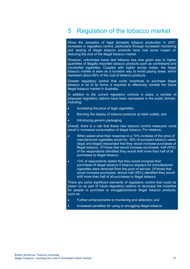## 5 Regulation of the tobacco market

Since the cessation of legal domestic tobacco production in 2007, increases in regulatory control, particularly through increased monitoring and seizing of illegal tobacco products have had some impact on reducing the size of the illegal tobacco market.

However, unbranded loose leaf tobacco has now given way to higher quantities of illegally imported tobacco products such as contraband and counterfeit cigarettes. Coupled with higher excise duties, the illegal tobacco market is seen as a lucrative way to avoid paying taxes, which represent about 68% of the cost of tobacco products.

Greater regulatory control that curbs incentives to purchase illegal tobacco in all of its forms is required to effectively combat the future illegal tobacco market in Australia.

In addition to the current regulatory controls in place, a number of proposed regulatory options have been canvassed in the public domain, including:

- Increasing the price of legal cigarettes;
- Banning the display of tobacco products at retail outlets; and
- Introducing generic packaging.

Overall, there is a risk that these new tobacco control measures could result in increased consumption of illegal tobacco. For instance:

- When asked what their response to a 10% increase of the price of manufactured cigarettes would be, 16% of surveyed tobacco users (legal and illegal) responded that they would increase purchases of illegal tobacco. Of those that would increase purchases, half (50%) of the respondents identified they would shift more than half of all purchases to illegal tobacco.
- 13% of respondents stated that they would increase their purchases of illegal tobacco if tobacco displays for manufactured cigarettes were removed from the point of service. Of those that would increase purchases, almost half (46%) identified they would shift more than half of all purchases to illegal tobacco.

There are some significant elements of regulatory control that could be drawn on as part of future regulatory options to decrease the incentive for people to purchase or smuggle/produce illegal tobacco products, such as:

- Further enhancements to monitoring and detection; and
- Increased penalties for using or smuggling illegal tobacco.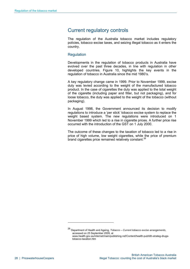### Current regulatory controls

The regulation of the Australia tobacco market includes regulatory policies, tobacco excise taxes, and seizing illegal tobacco as it enters the country.

#### **Regulation**

Developments in the regulation of tobacco products in Australia have evolved over the past three decades, in line with regulation in other developed countries. Figure 10, highlights the key events in the regulation of tobacco in Australia since the mid 1980's.

A key regulatory change came in 1999. Prior to November 1999, excise duty was levied according to the weight of the manufactured tobacco product. In the case of cigarettes the duty was applied to the total weight of the cigarette (including paper and filter, but not packaging), and for loose tobacco, the duty was applied to the weight of the tobacco (without packaging).

In August 1998, the Government announced its decision to modify regulations to introduce a 'per stick' tobacco excise system to replace the weight based system. The new regulations were introduced on 1 November 1999 which led to a rise in cigarette prices. A further price rise occurred with the introduction of the GST on 1 July 2000.

The outcome of these changes to the taxation of tobacco led to a rise in price of high volume, low weight cigarettes, while the price of premium brand cigarettes price remained relatively constant.<sup>26</sup>

-

<sup>26</sup> Department of Health and Ageing, *Tobacco – Current tobacco excise arrangements*, accessed on 25 September 2009, at www.health.gov.au/internet/main/publishing.nsf/Content/health-pubhlth-strateg-drugstobacco-taxation.htm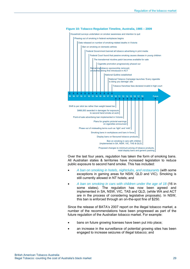

**Figure 10: Tobacco Regulation Timeline, Australia, 1985 – 2009** 

Over the last four years, regulation has taken the form of smoking bans. All Australian states & territories have increased legislation to reduce public exposure to second hand smoke. This has included:

- *A ban on smoking in hotels, nightclubs, and restaurants* (with some exceptions in gaming areas for NSW, QLD and VIC). Smoking is still currently allowed in NT hotels; and
- *A ban on smoking in cars with children under the age of 18* (16 in some states). The regulation has now been agreed and implemented in SA, NSW, VIC, TAS and QLD, (while WA and ACT are in the process of considering legislative proposals). In NSW, this ban is enforced through an on-the-spot fine of \$250.

Since the release of BATA's 2007 report on the illegal tobacco market, a number of the recommendations have been progressed as part of the future regulation of the Australian tobacco market. For example:

- bans on future growing licenses have been put into place;
- an increase in the surveillance of potential growing sites has been engaged to increase seizures of illegal tobacco; and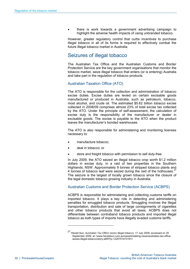• there is work towards a government advertising campaign to highlight the adverse health impacts of using unbranded tobacco.

However, greater regulatory control that curbs incentives to purchase illegal tobacco in all of its forms is required to effectively combat the future illegal tobacco market in Australia.

### Seizures of illegal tobacco

The Australian Tax Office and the Australian Customs and Border Protection Service are the key government organisations that monitor the tobacco market, seize illegal tobacco that enters (or is entering) Australia and take part in the regulation of tobacco products.

#### Australian Taxation Office (ATO)

The ATO is responsible for the collection and administration of tobacco excise duties. Excise duties are levied on certain excisable goods manufactured or produced in Australia, such as petroleum, tobacco, most alcohol, and crude oil. The estimated \$5.62 billion tobacco excise collected in 2008/09 comprises almost 23% of total excise tax collected by the ATO. Under the principle of self-assessment, the calculation of excise duty is the responsibility of the manufacturer or dealer in excisable goods. The excise is payable to the ATO when the product leaves the manufacturer's bonded warehouses.

The ATO is also responsible for administering and monitoring licenses necessary to:

- manufacture tobacco;
- deal in tobacco; or

1

store and freight tobacco with permission to sell duty-free.

In July 2009, the ATO seized an illegal tobacco crop worth \$1.2 million dollars in excise duty, in a raid of two properties in the Southern Highlands, NSW. Approximately 9 tonnes of stripped tobacco plants and 4 tonnes of tobacco leaf were seized during the raid of the hothouses. $27$ The seizure is the largest of locally grown tobacco since the closure of the legal domestic tobacco growing industry in Australia.

Australian Customs and Border Protection Service (ACBPS)

ACBPS is responsible for administering and collecting customs tariffs on imported tobacco. It plays a key role in detecting and administering penalties for smuggled tobacco products. Smuggling involves the illegal transportation, distribution and sale of large consignments of cigarettes and other tobacco products that avoid all taxes. ACBPS does not differentiate between contraband tobacco products and imported illegal tobacco as both types of imports have illegally evaded customs tariffs.

<sup>27</sup> Herald Sun, *Australian Tax Office seizes illegal tobacco,* 17 July 2009, accessed on 25 September 2009, at <www.heraldsun.com.au/news/breaking-news/australian-tax-officeseizes-illegal-tobacco/story-e6frf7jx-1225751473191>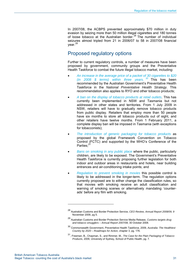In 2007/08, the ACBPS prevented approximately \$70 million in duty evasion by seizing more than 50 million illegal cigarettes and 180 tonnes of loose tobacco at the Australian border.<sup>28</sup> The number of individual seizures almost tripled from 21 in 2006/07 to 58 in 2007/08 financial year.<sup>29</sup>

### Proposed regulatory options

Further to current regulatory controls, a number of measures have been proposed by government, community groups and the Preventative Health Taskforce to combat the future illegal tobacco market, including:

- *An increase in the average price of a packet of 30 cigarettes to \$20 (in 2008 \$ terms) within three years. <sup>30</sup>* This has been recommended by the Australian Government's Preventative Health Taskforce in the *National Preventative Health Strategy.* This recommendation also applies to RYO and other tobacco products;
- *A ban on the display of tobacco products at retail outlets*. This has currently been implemented in NSW and Tasmania but not addressed in other states and territories. From 1 July 2009 in NSW, retailers will have to gradually remove tobacco products from public display. Retailers that employ more than 50 people have six months to store all tobacco products out of sight, and other retailers have twelve months. From 1 February 2011, a complete display ban will be imposed in Tasmania (with exceptions for tobacconists);
- *The introduction of generic packaging for tobacco products* as proposed by the global Framework Convention on Tobacco Control (FCTC) and supported by the WHO's Conference of the Parties:<sup>31</sup>
- *Bans on smoking in any public place* where the public, particularly children, are likely to be exposed. The Government's Preventative Health Taskforce is currently proposing further legislation for both indoor and outdoor areas in restaurants and hotels, near building entrances and air-conditioning intake points; and
- *Regulation to prevent smoking in movies* this possible control is likely to be addressed in the longer-term. The regulation options currently proposed are to either change the classification rules, so that movies with smoking receive an adult classification and warning of smoking scenes or alternatively mandating 'counterads' before any film with smoking.

-

<sup>28</sup> Australian Customs and Border Protection Service, *CEO Review, Annual Report 2008/09, 9* November 2009, pg 5.

<sup>29</sup> Australian Customs and Border Protection Service Media Release, *Customs targets drug and tobacco smugglers – Annual Report 2007/08*, 30 October 2008.

<sup>30</sup> Commonwealth Government, Preventative Health Taskforce, 2009, *Australia: The Healthiest Country by 2020 – Roadmaps for Action,* chapter 3, pg. 176.

<sup>31,</sup> Freeman, B., Chapman, S., and Rimmer, M., *The Case for the Plain Packaging of Tobacco Products,* 2009, University of Sydney, School of Public Health, pg. 7.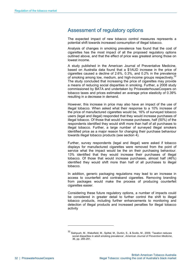### Assessment of regulatory options

The expected impact of new tobacco control measures represents a potential shift towards increased consumption of illegal tobacco.

Analysis of changes in smoking prevalence has found that the cost of cigarettes has the most impact of all the proposed regulatory options outlined above, and that the effect of price was greatest among those on lowest income.

A study published in the American Journal of Preventative Medicine, based on Australia data found that a \$1AUD increase in the price of cigarettes caused a decline of 2.6%, 0.3%, and 0.2% in the prevalence of smoking among low, medium, and high-income groups respectively. $\frac{3}{2}$ The study concluded that increasing the price of cigarettes may provide a means of reducing social disparities in smoking. Further, a 2008 study commissioned by BATA and undertaken by PricewaterhouseCoopers on tobacco taxes and prices estimated an average price elasticity of 0.39% resulting in a decrease in demand.

However, this increase in price may also have an impact of the use of illegal tobacco. When asked what their response to a 10% increase of the price of manufactured cigarettes would be, 16% of surveyed tobacco users (legal and illegal) responded that they would increase purchases of illegal tobacco. Of those that would increase purchases, half (50%) of the respondents identified they would shift more than half of all purchases to illegal tobacco. Further, a large number of surveyed illegal smokers identified price as a major reason for changing their purchase behaviour towards illegal tobacco products (see section 4).

Further, survey respondents (legal and illegal) were asked if tobacco displays for manufactured cigarettes were removed from the point of service what the impact would be the on their purchasing behaviour. 13% identified that they would increase their purchases of illegal tobacco. Of those that would increase purchases, almost half (46%) identified they would shift more than half of all purchases to illegal tobacco.

In addition, generic packaging regulations may lead to an increase in access to counterfeit and contraband cigarettes. Removing branding from packages would make the process of producing counterfeit cigarettes easier.

Considering these future regulatory options, a number of impacts could be considered in greater detail to further control the shift to illegal tobacco products, including further enhancements to monitoring and detection of illegal products and increased penalties for illegal tobacco activity

1

<sup>32</sup> Siahpush, M., Wakefield, M., Spittal, M., Durkin, S., & Scollo, M., 2009, 'Taxation reduces social disparities in adult smoking prevalence', *American Journal of Preventive Medicine*, 36, pp. 285-291.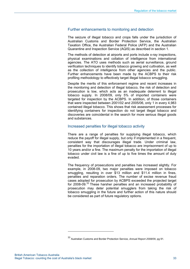#### Further enhancements to monitoring and detection

The seizure of illegal tobacco and crops falls under the jurisdiction of Australian Customs and Border Protection Service, the Australian Taxation Office, the Australian Federal Police (AFP) and the Australian Quarantine and Inspection Service (AQIS) as described in section 1.

The methods of detection at airports and ports include x-ray inspections, physical examinations and collation of intelligence from international agencies. The ATO uses methods such as aerial surveillance, ground verification techniques to identify tobacco growing and cultivation, as well as the collection of intelligence from other agencies and the public. Further enhancements have been made by the ACBPS to their risk profiling methodology to effectively target illegal tobacco smuggling.

Despite the merits of this enforcement regime and recent increases in the monitoring and detection of illegal tobacco, the risk of detection and prosecution is low, which acts as an inadequate deterrent to illegal tobacco supply. In 2008/09, only 5% of imported containers were targeted for inspection by the ACBPS. In addition, of those containers that were inspected between 2001/02 and 2005/06, only 1 in every 4,983 contained illegal tobacco. This shows that risk assessment processes for identifying containers for inspection do not target illegal tobacco and discoveries are coincidental in the search for more serious illegal goods and substances.

#### Increased penalties for illegal tobacco activity

There are a range of penalties for supplying illegal tobacco, which reduce the payoff for illegal supply, but only if implemented in a frequent, consistent way that discourages illegal trade. Under criminal law, penalties for the importation of illegal tobacco are imprisonment of up to 10 years and/or a fine. The maximum penalty for the importation of illegal tobacco under civil law is a fine of up to five times the amount of duty evaded.

The frequency of prosecutions and penalties has increased slightly. For example, in 2008-09, two major penalties were imposed on tobacco smuggling, resulting in over \$13 million and \$11.4 million in fines, penalties and reparation orders. The number of excise revenue fraud cases adopted for prosecution by ACBPS exceeded the projected target for 2008-09.<sup>33</sup> These harsher penalties and an increased probability of prosecution may deter potential smugglers from taking the risk of tobacco smuggling in the future and further action of this nature should be considered as part of future regulatory options.

-

<sup>33</sup> Australian Customs and Border Protection Service, *Annual Report 2008/09,* pg 91.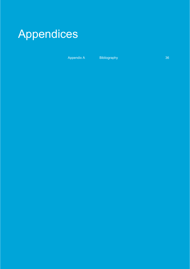

Appendix A Bibliography 36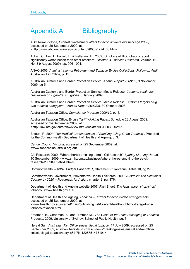## Appendix A Bibliography

ABC Rural Victoria, *Federal Government offers tobacco growers exit package 2006*, accessed on 20 September 2009, at <http://www.abc.net.au/rural/vic/content/2006/s1774133.htm>

Aitken, C., Fry, T., Farrell, L., & Pellegrini, B., 2009, 'Smokers of illicit tobacco report significantly worse health than other smokers', *Nicotine & Tobacco Research*, Volume 11, No. 8 9 August 2009), pp. 996-1001.

ANAO 2006, *Administration of Petroleum and Tobacco Excise Collections: Follow-up Audit*, Australian Tax Office, p. 15.

Australian Customs and Border Protection Service, *Annual Report 2008/09*, 9 November 2009, pg 5.

Australian Customs and Border Protection Service, Media Release, *Customs continues crackdown on cigarette smuggling,* 8 January 2009.

Australian Customs and Border Protection Service, Media Release*, Customs targets drug and tobacco smugglers – Annual Report 2007/08*, 30 October 2008.

Australian Taxation Office, *Compliance Program 2009/10*, pg 4.

Australian Taxation Office, *Excise Tariff Working Pages*, Schedule 28 August 2009, accessed on 24 September 2009, at <http://law.ato.gov.au/atolaw/view.htm?docid=PAC/BL030002/1>

Bittoun, R. 2004, *The Medical Consequences of Smoking "Chop-Chop Tobacco*", Prepared for the Commonwealth Department of Health and Ageing, p. 3.

Cancer Council Victoria, accessed on 25 September 2009, at: <www.tobaccoinaustralia.org.au>

Citi Research 2009, 'Where there's smoking there's Citi research', *Sydney Morning Herald,* 10 September 2009, <www.smh.com.au/business/where-theres-smoking-theres-citiresearch-20090909-fho4.html>

Commonwealth *2009/10 Budget Paper No.1*, Statement 5: Revenue, Table 10, pg 29

Commonwealth Government, Preventative Health Taskforce, 2009, *Australia: The Healthiest Country by 2020 – Roadmaps for Action,* chapter 3, pg. 176.

Department of Health and Ageing website 2007, *Fact Sheet: The facts about 'chop-chop'* tobacco, <www.health.gov.au>

Department of Health and Ageing, *Tobacco – Current tobacco excise arrangements*, accessed on 25 September 2009, at <www.health.gov.au/internet/main/publishing.nsf/Content/health-pubhlth-strateg-drugstobacco-taxation.htm>

Freeman, B., Chapman, S., and Rimmer, M., *The Case for the Plain Packaging of Tobacco* Products, 2009, University of Sydney, School of Public Health, pg. 7.

Herald Sun, *Australian Tax Office seizes illegal tobacco,* 17 July 2009, accessed on 25 September 2009, at <www.heraldsun.com.au/news/breaking-news/australian-tax-officeseizes-illegal-tobacco/story-e6frf7jx-1225751473191>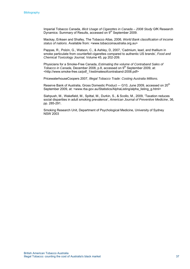Imperial Tobacco Canada, *Illicit Usage of Cigarettes in Canada – 2008 Study* GfK Research Dynamics: Summary of Results, accessed on 9<sup>th</sup> September 2009.

Mackay, Eriksen and Shafey, The Tobacco Atlas, 2006, *World Bank classification of income status of nations*. Available from: <www.tobaccoinaustralia.org.au>

Pappas, R., Polzin, G., Watson, C., & Ashley, D, 2007, 'Cadmium, lead, and thallium in smoke particulate from counterfeit cigarettes compared to authentic US brands', *Food and Chemical Toxicology Journal,* Volume 45, pp 202-209.

Physicians for a Smoke-Free Canada, *Estimating the volume of Contraband Sales of Tobacco in Canada, December 2008, p.8, accessed on 9<sup>th</sup> September 2009, at:* <http://www.smoke-free.ca/pdf\_1/estimatesofcontraband-2008.pdf>

PricewaterhouseCoopers 2007, *Illegal Tobacco Trade: Costing Australia Millions.*

Reserve Bank of Australia, Gross Domestic Product -- G10, June 2009, accessed on 20<sup>th</sup> September 2009, at: <www.rba.gov.au/Statistics/AlphaListing/alpha\_listing\_g.html>

Siahpush, M., Wakefield, M., Spittal, M., Durkin, S., & Scollo, M., 2009, 'Taxation reduces social disparities in adult smoking prevalence', *American Journal of Preventive Medicine*, 36, pp. 285-291.

Smoking Research Unit, Department of Psychological Medicine, University of Sydney NSW 2003